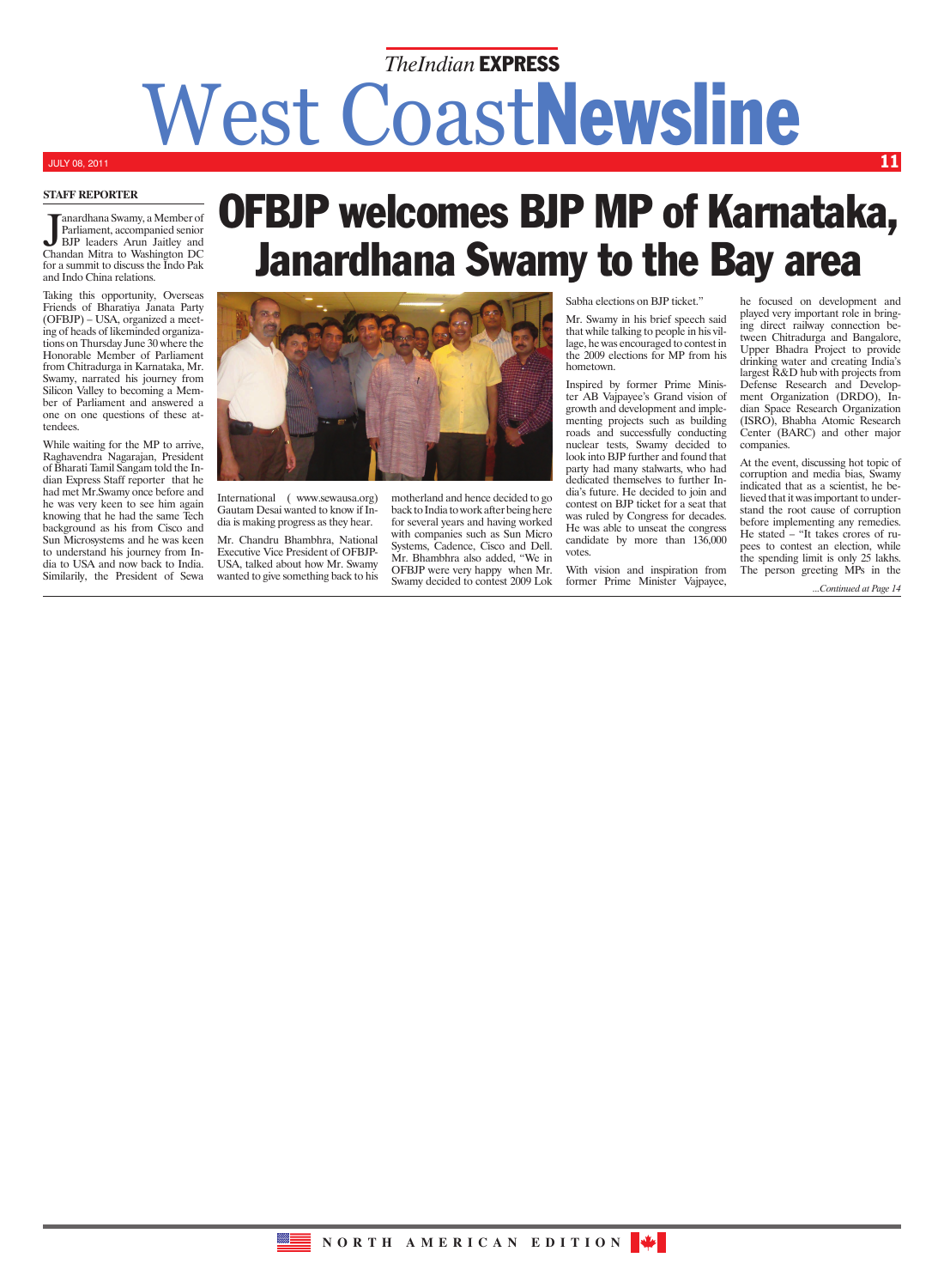# West CoastNewsline *TheIndian* EXPRESS

## JULY 08, 2011

**Staff Reporter**

Janardhana Swamy, a Member of<br>Parliament, accompanied senior<br>BJP leaders Arun Jaitley and<br>Chandan Mitra to Washington DC anardhana Swamy, a Member of Parliament, accompanied senior BJP leaders Arun Jaitley and for a summit to discuss the Indo Pak and Indo China relations.

Taking this opportunity, Overseas Friends of Bharatiya Janata Party (OFBJP) – USA, organized a meeting of heads of likeminded organizations on Thursday June 30 where the Honorable Member of Parliament from Chitradurga in Karnataka, Mr. Swamy, narrated his journey from Silicon Valley to becoming a Member of Parliament and answered a one on one questions of these attendees.

While waiting for the MP to arrive, Raghavendra Nagarajan, President of Bharati Tamil Sangam told the Indian Express Staff reporter that he had met Mr.Swamy once before and he was very keen to see him again knowing that he had the same Tech background as his from Cisco and Sun Microsystems and he was keen to understand his journey from India to USA and now back to India. Similarily, the President of Sewa

## OFBJP welcomes BJP MP of Karnataka, Janardhana Swamy to the Bay area



International ( www.sewausa.org) Gautam Desai wanted to know if India is making progress as they hear.

Mr. Chandru Bhambhra, National Executive Vice President of OFBJP-USA, talked about how Mr. Swamy wanted to give something back to his motherland and hence decided to go back to India to work after being here for several years and having worked with companies such as Sun Micro Systems, Cadence, Cisco and Dell. Mr. Bhambhra also added, "We in OFBJP were very happy when Mr. Swamy decided to contest 2009 Lok Sabha elections on BJP ticket."

Mr. Swamy in his brief speech said that while talking to people in his village, he was encouraged to contest in the 2009 elections for MP from his hometown.

Inspired by former Prime Minister AB Vajpayee's Grand vision of growth and development and implementing projects such as building roads and successfully conducting nuclear tests, Swamy decided to look into BJP further and found that party had many stalwarts, who had dedicated themselves to further India's future. He decided to join and contest on BJP ticket for a seat that was ruled by Congress for decades. He was able to unseat the congress candidate by more than 136,000 votes.

With vision and inspiration from former Prime Minister Vajpayee,

he focused on development and played very important role in bringing direct railway connection between Chitradurga and Bangalore, Upper Bhadra Project to provide drinking water and creating India's largest R&D hub with projects from Defense Research and Development Organization (DRDO), Indian Space Research Organization (ISRO), Bhabha Atomic Research Center (BARC) and other major companies.

11

At the event, discussing hot topic of corruption and media bias, Swamy indicated that as a scientist, he believed that it was important to understand the root cause of corruption before implementing any remedies. He stated – "It takes crores of rupees to contest an election, while the spending limit is only 25 lakhs. The person greeting MPs in the

*...Continued at Page 14*